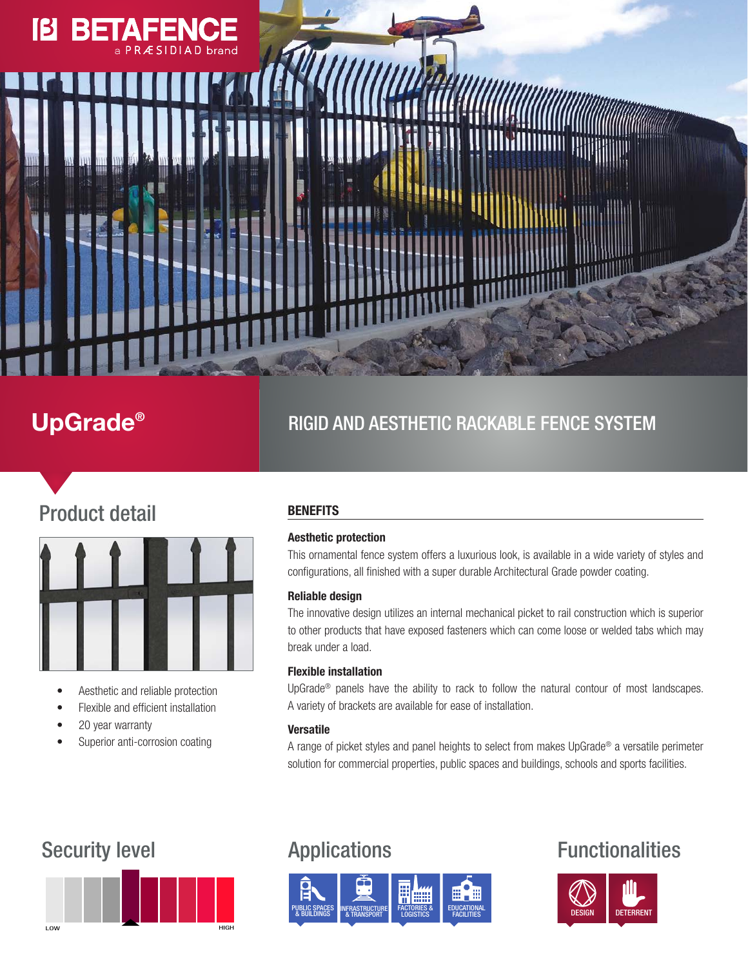# **18**

## UpGrade®

## RIGID AND AESTHETIC RACKABLE FENCE SYSTEM

## Product detail



- Aesthetic and reliable protection
- Flexible and efficient installation
- 20 year warranty
- Superior anti-corrosion coating

### **BENEFITS**

### Aesthetic protection

This ornamental fence system offers a luxurious look, is available in a wide variety of styles and configurations, all finished with a super durable Architectural Grade powder coating.

### Reliable design

The innovative design utilizes an internal mechanical picket to rail construction which is superior to other products that have exposed fasteners which can come loose or welded tabs which may break under a load.

### Flexible installation

UpGrade® panels have the ability to rack to follow the natural contour of most landscapes. A variety of brackets are available for ease of installation.

### Versatile

A range of picket styles and panel heights to select from makes UpGrade® a versatile perimeter solution for commercial properties, public spaces and buildings, schools and sports facilities.





## Security level **Applications** Functionalities